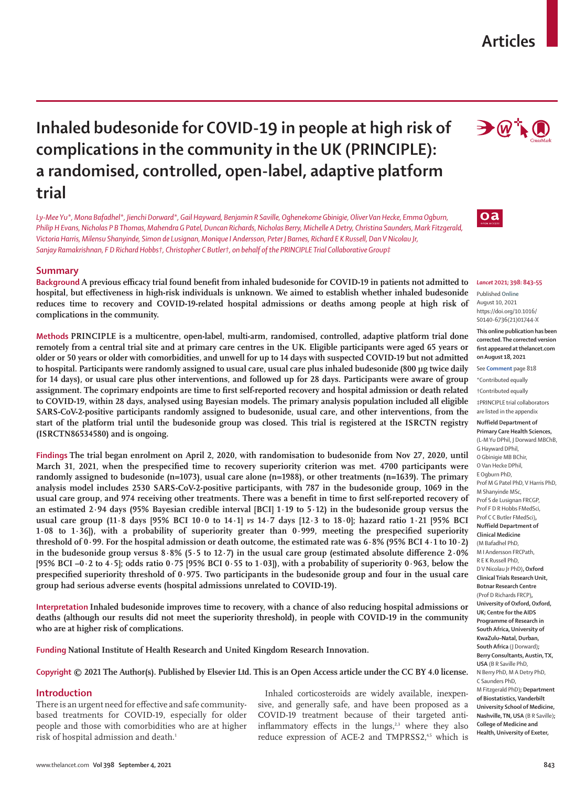# **Inhaled budesonide for COVID-19 in people at high risk of complications in the community in the UK (PRINCIPLE): a randomised, controlled, open-label, adaptive platform trial**

*Ly-Mee Yu\*, Mona Bafadhel\*, Jienchi Dorward\*, Gail Hayward, Benjamin R Saville, Oghenekome Gbinigie, Oliver Van Hecke, Emma Ogburn, Philip H Evans, Nicholas P B Thomas, Mahendra G Patel, Duncan Richards, Nicholas Berry, Michelle A Detry, Christina Saunders, Mark Fitzgerald, Victoria Harris, Milensu Shanyinde, Simon de Lusignan, Monique I Andersson, Peter J Barnes, Richard E K Russell, Dan V Nicolau Jr, Sanjay Ramakrishnan, F D Richard Hobbs†, Christopher C Butler†, on behalf of the PRINCIPLE Trial Collaborative Group‡*

# **Summary**

**Background A previous efficacy trial found benefit from inhaled budesonide for COVID-19 in patients not admitted to hospital, but effectiveness in high-risk individuals is unknown. We aimed to establish whether inhaled budesonide reduces time to recovery and COVID-19-related hospital admissions or deaths among people at high risk of complications in the community.**

**Methods PRINCIPLE is a multicentre, open-label, multi-arm, randomised, controlled, adaptive platform trial done remotely from a central trial site and at primary care centres in the UK. Eligible participants were aged 65 years or older or 50 years or older with comorbidities, and unwell for up to 14 days with suspected COVID-19 but not admitted to hospital. Participants were randomly assigned to usual care, usual care plus inhaled budesonide (800 µg twice daily for 14 days), or usual care plus other interventions, and followed up for 28 days. Participants were aware of group assignment. The coprimary endpoints are time to first self-reported recovery and hospital admission or death related to COVID-19, within 28 days, analysed using Bayesian models. The primary analysis population included all eligible SARS-CoV-2-positive participants randomly assigned to budesonide, usual care, and other interventions, from the start of the platform trial until the budesonide group was closed. This trial is registered at the ISRCTN registry (ISRCTN86534580) and is ongoing.**

**Findings The trial began enrolment on April 2, 2020, with randomisation to budesonide from Nov 27, 2020, until March 31, 2021, when the prespecified time to recovery superiority criterion was met. 4700 participants were randomly assigned to budesonide (n=1073), usual care alone (n=1988), or other treatments (n=1639). The primary analysis model includes 2530 SARS-CoV-2-positive participants, with 787 in the budesonide group, 1069 in the usual care group, and 974 receiving other treatments. There was a benefit in time to first self-reported recovery of an estimated 2·94 days (95% Bayesian credible interval [BCI] 1·19 to 5·12) in the budesonide group versus the usual care group (11·8 days [95% BCI 10·0 to 14·1]** *vs* **14·7 days [12·3 to 18·0]; hazard ratio 1·21 [95% BCI 1·08 to 1·36]), with a probability of superiority greater than 0·999, meeting the prespecified superiority threshold of 0·99. For the hospital admission or death outcome, the estimated rate was 6·8% (95% BCI 4·1 to 10·2) in the budesonide group versus 8·8% (5·5 to 12·7) in the usual care group (estimated absolute difference 2·0% [95% BCI –0·2 to 4·5]; odds ratio 0·75 [95% BCI 0·55 to 1·03]), with a probability of superiority 0·963, below the prespecified superiority threshold of 0·975. Two participants in the budesonide group and four in the usual care group had serious adverse events (hospital admissions unrelated to COVID-19).**

**Interpretation Inhaled budesonide improves time to recovery, with a chance of also reducing hospital admissions or deaths (although our results did not meet the superiority threshold), in people with COVID-19 in the community who are at higher risk of complications.**

**Funding National Institute of Health Research and United Kingdom Research Innovation.**

**Copyright © 2021 The Author(s). Published by Elsevier Ltd. This is an Open Access article under the CC BY 4.0 license.**

### **Introduction**

There is an urgent need for effective and safe communitybased treatments for COVID-19, especially for older people and those with comorbidities who are at higher risk of hospital admission and death.<sup>1</sup>

Inhaled corticosteroids are widely available, inexpensive, and generally safe, and have been proposed as a COVID-19 treatment because of their targeted antiinflammatory effects in the  $\lvert \text{ungs}, \rvert^{2,3}$  where they also reduce expression of ACE-2 and TMPRSS2,<sup>45</sup> which is



**Articles**



#### *Lancet* **2021; 398: 843–55**

Published **Online** August 10, 2021 https://doi.org/10.1016/ S0140-6736(21)01744-X

**This online publication has been corrected. The corrected version first appeared at thelancet.com on August 18, 2021**

See **Comment** page 818

\*Contributed equally †Contributed equally

‡PRINCIPLE trial collaborators are listed in the appendix

**Nuffield Department of** 

**Primary Care Health Sciences,**  (L-M Yu DPhil, J Dorward MBChB, G Hayward DPhil, O Gbinigie MB BChir, O Van Hecke DPhil, E Ogburn PhD, Prof M G Patel PhD, V Harris PhD, M Shanyinde MSc, Prof S de Lusignan FRCGP, Prof F D R Hobbs FMedSci, Prof C C Butler FMedSci)**, Nuffield Department of Clinical Medicine**  (M Bafadhel PhD, M I Andersson FRCPath, R E K Russell PhD, D V Nicolau Jr PhD)**, Oxford Clinical Trials Research Unit, Botnar Research Centre**  (Prof D Richards FRCP)**, University of Oxford, Oxford, UK; Centre for the AIDS Programme of Research in South Africa, University of KwaZulu–Natal, Durban, South Africa** (J Dorward)**; Berry Consultants, Austin, TX, USA** (B R Saville PhD, N Berry PhD, M A Detry PhD, C Saunders PhD, M Fitzgerald PhD)**; Department of Biostatistics, Vanderbilt University School of Medicine, Nashville, TN, USA** (B R Saville)**; College of Medicine and Health, University of Exeter,**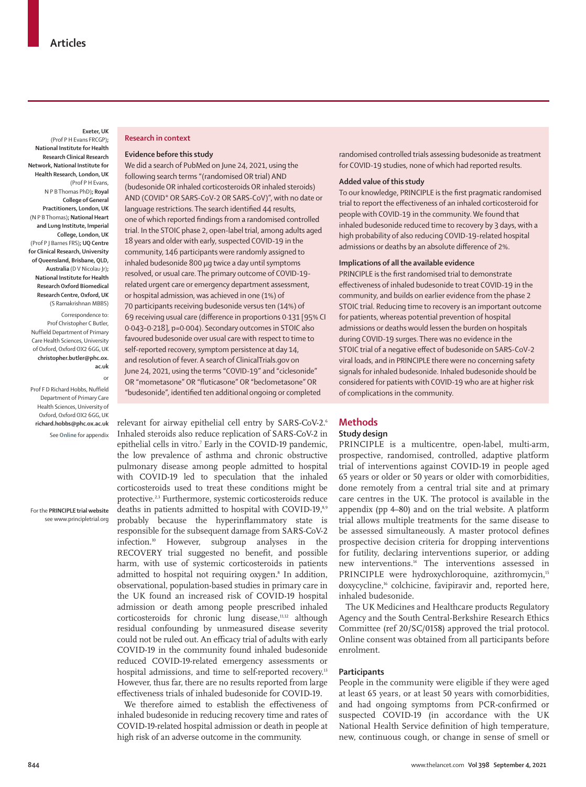**Exeter, UK** (Prof P H Evans FRCGP)**; National Institute for Health Research Clinical Research Network, National Institute for Health Research, London, UK** (Prof P H Evans, N P B Thomas PhD)**; Royal College of General Practitioners, London, UK** (N P B Thomas)**; National Heart and Lung Institute, Imperial College, London, UK** (Prof P J Barnes FRS)**; UQ Centre for Clinical Research, University of Queensland, Brisbane, QLD, Australia** (D V Nicolau Jr)**; National Institute for Health Research Oxford Biomedical Research Centre, Oxford, UK** (S Ramakrishnan MBBS)

Correspondence to: Prof Christopher C Butler, Nuffield Department of Primary Care Health Sciences, University of Oxford, Oxford OX2 6GG, UK **christopher.butler@phc.ox. ac.uk**

Prof F D Richard Hobbs, Nuffield Department of Primary Care Health Sciences, University of Oxford, Oxford OX2 6GG, UK **richard.hobbs@phc.ox.ac.uk** See **Online** for appendix

or

For the **PRINCIPLE trial website**  see [www.principletrial.org](http://www.principletrial.org)

### **Research in context**

## **Evidence before this study**

We did a search of PubMed on June 24, 2021, using the following search terms "(randomised OR trial) AND (budesonide OR inhaled corticosteroids OR inhaled steroids) AND (COVID\* OR SARS-CoV-2 OR SARS-CoV)", with no date or language restrictions. The search identified 44 results, one of which reported findings from a randomised controlled trial. In the STOIC phase 2, open-label trial, among adults aged 18 years and older with early, suspected COVID-19 in the community, 146 participants were randomly assigned to inhaled budesonide 800 µg twice a day until symptoms resolved, or usual care. The primary outcome of COVID-19 related urgent care or emergency department assessment, or hospital admission, was achieved in one (1%) of 70 participants receiving budesonide versus ten (14%) of 69 receiving usual care (difference in proportions 0·131 [95% CI 0·043–0·218], p=0·004). Secondary outcomes in STOIC also favoured budesonide over usual care with respect to time to self-reported recovery, symptom persistence at day 14, and resolution of fever. A search of ClinicalTrials.gov on June 24, 2021, using the terms "COVID-19" and "ciclesonide" OR "mometasone" OR "fluticasone" OR "beclometasone" OR "budesonide", identified ten additional ongoing or completed

relevant for airway epithelial cell entry by SARS-CoV-2.6 Inhaled steroids also reduce replication of SARS-CoV-2 in epithelial cells in vitro.7 Early in the COVID-19 pandemic, the low prevalence of asthma and chronic obstructive pulmonary disease among people admitted to hospital with COVID-19 led to speculation that the inhaled corticosteroids used to treat these conditions might be protective.2,3 Furthermore, systemic corticosteroids reduce deaths in patients admitted to hospital with COVID-19,8,9 probably because the hyperinflammatory state is responsible for the subsequent damage from SARS-CoV-2 infection.10 However, subgroup analyses in the RECOVERY trial suggested no benefit, and possible harm, with use of systemic corticosteroids in patients admitted to hospital not requiring oxygen.8 In addition, observational, population-based studies in primary care in the UK found an increased risk of COVID-19 hospital admission or death among people prescribed inhaled corticosteroids for chronic lung disease,<sup>11,12</sup> although residual confounding by unmeasured disease severity could not be ruled out. An efficacy trial of adults with early COVID-19 in the community found inhaled budesonide reduced COVID-19-related emergency assessments or hospital admissions, and time to self-reported recovery.<sup>13</sup> However, thus far, there are no results reported from large effectiveness trials of inhaled budesonide for COVID-19.

We therefore aimed to establish the effectiveness of inhaled budesonide in reducing recovery time and rates of COVID-19-related hospital admission or death in people at high risk of an adverse outcome in the community.

randomised controlled trials assessing budesonide as treatment for COVID-19 studies, none of which had reported results.

## **Added value of this study**

To our knowledge, PRINCIPLE is the first pragmatic randomised trial to report the effectiveness of an inhaled corticosteroid for people with COVID-19 in the community. We found that inhaled budesonide reduced time to recovery by 3 days, with a high probability of also reducing COVID-19-related hospital admissions or deaths by an absolute difference of 2%.

# **Implications of all the available evidence**

PRINCIPLE is the first randomised trial to demonstrate effectiveness of inhaled budesonide to treat COVID-19 in the community, and builds on earlier evidence from the phase 2 STOIC trial. Reducing time to recovery is an important outcome for patients, whereas potential prevention of hospital admissions or deaths would lessen the burden on hospitals during COVID-19 surges. There was no evidence in the STOIC trial of a negative effect of budesonide on SARS-CoV-2 viral loads, and in PRINCIPLE there were no concerning safety signals for inhaled budesonide. Inhaled budesonide should be considered for patients with COVID-19 who are at higher risk of complications in the community.

# **Methods Study design**

PRINCIPLE is a multicentre, open-label, multi-arm, prospective, randomised, controlled, adaptive platform trial of interventions against COVID-19 in people aged 65 years or older or 50 years or older with comorbidities, done remotely from a central trial site and at primary care centres in the UK. The protocol is available in the appendix (pp 4–80) and on the [trial website](http://www.principletrial.org). A platform trial allows multiple treatments for the same disease to be assessed simultaneously. A master protocol defines prospective decision criteria for dropping interventions for futility, declaring interventions superior, or adding new interventions.14 The interventions assessed in PRINCIPLE were hydroxychloroquine, azithromycin,<sup>15</sup> doxycycline,<sup>16</sup> colchicine, favipiravir and, reported here, inhaled budesonide.

The UK Medicines and Healthcare products Regulatory Agency and the South Central-Berkshire Research Ethics Committee (ref 20/SC/0158) approved the trial protocol. Online consent was obtained from all participants before enrolment.

### **Participants**

People in the community were eligible if they were aged at least 65 years, or at least 50 years with comorbidities, and had ongoing symptoms from PCR-confirmed or suspected COVID-19 (in accordance with the UK National Health Service definition of high temperature, new, continuous cough, or change in sense of smell or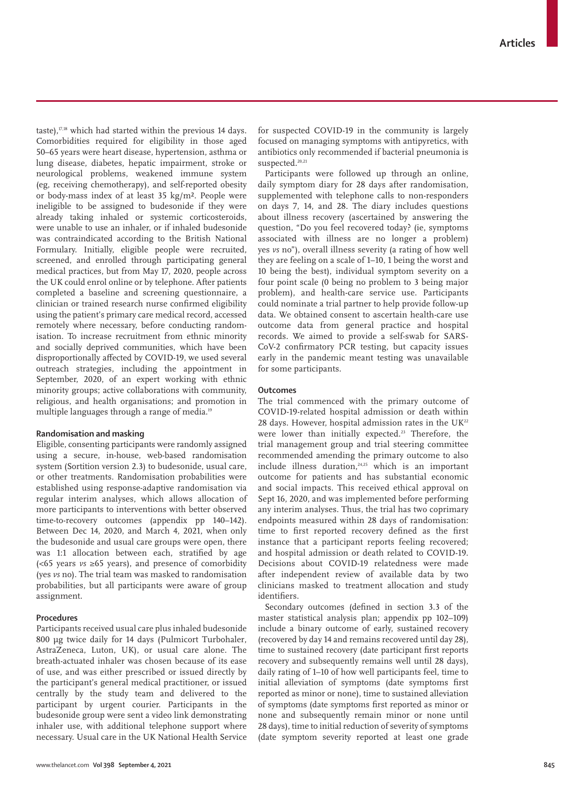taste), $17,18$  which had started within the previous 14 days. Comorbidities required for eligibility in those aged 50–65 years were heart disease, hypertension, asthma or lung disease, diabetes, hepatic impairment, stroke or neurological problems, weakened immune system (eg, receiving chemotherapy), and self-reported obesity or body-mass index of at least 35 kg/m². People were ineligible to be assigned to budesonide if they were already taking inhaled or systemic corticosteroids, were unable to use an inhaler, or if inhaled budesonide was contraindicated according to the British National Formulary. Initially, eligible people were recruited, screened, and enrolled through participating general medical practices, but from May 17, 2020, people across the UK could enrol online or by telephone. After patients completed a baseline and screening questionnaire, a clinician or trained research nurse confirmed eligibility using the patient's primary care medical record, accessed remotely where necessary, before conducting randomisation. To increase recruitment from ethnic minority and socially deprived communities, which have been disproportionally affected by COVID-19, we used several outreach strategies, including the appointment in September, 2020, of an expert working with ethnic minority groups; active collaborations with community, religious, and health organisations; and promotion in multiple languages through a range of media.<sup>19</sup>

# **Randomisation and masking**

Eligible, consenting participants were randomly assigned using a secure, in-house, web-based randomisation system (Sortition version 2.3) to budesonide, usual care, or other treatments. Randomisation probabilities were established using response-adaptive randomisation via regular interim analyses, which allows allocation of more participants to interventions with better observed time-to-recovery outcomes (appendix pp 140–142). Between Dec 14, 2020, and March 4, 2021, when only the budesonide and usual care groups were open, there was 1:1 allocation between each, stratified by age (<65 years *vs* ≥65 years), and presence of comorbidity (yes *vs* no). The trial team was masked to randomisation probabilities, but all participants were aware of group assignment.

## **Procedures**

Participants received usual care plus inhaled budesonide 800 µg twice daily for 14 days (Pulmicort Turbohaler, AstraZeneca, Luton, UK), or usual care alone. The breath-actuated inhaler was chosen because of its ease of use, and was either prescribed or issued directly by the participant's general medical practitioner, or issued centrally by the study team and delivered to the participant by urgent courier. Participants in the budesonide group were sent a video link demonstrating inhaler use, with additional telephone support where necessary. Usual care in the UK National Health Service for suspected COVID-19 in the community is largely focused on managing symptoms with antipyretics, with antibiotics only recommended if bacterial pneumonia is suspected.<sup>20,21</sup>

Participants were followed up through an online, daily symptom diary for 28 days after randomisation, supplemented with telephone calls to non-responders on days 7, 14, and 28. The diary includes questions about illness recovery (ascertained by answering the question, "Do you feel recovered today? (ie, symptoms associated with illness are no longer a problem) yes *vs* no"), overall illness severity (a rating of how well they are feeling on a scale of 1–10, 1 being the worst and 10 being the best), individual symptom severity on a four point scale (0 being no problem to 3 being major problem), and health-care service use. Participants could nominate a trial partner to help provide follow-up data. We obtained consent to ascertain health-care use outcome data from general practice and hospital records. We aimed to provide a self-swab for SARS-CoV-2 confirmatory PCR testing, but capacity issues early in the pandemic meant testing was unavailable for some participants.

## **Outcomes**

The trial commenced with the primary outcome of COVID-19-related hospital admission or death within 28 days. However, hospital admission rates in the  $UK^{22}$ were lower than initially expected.<sup>23</sup> Therefore, the trial management group and trial steering committee recommended amending the primary outcome to also include illness duration, $24,25$  which is an important outcome for patients and has substantial economic and social impacts. This received ethical approval on Sept 16, 2020, and was implemented before performing any interim analyses. Thus, the trial has two coprimary endpoints measured within 28 days of randomisation: time to first reported recovery defined as the first instance that a participant reports feeling recovered; and hospital admission or death related to COVID-19. Decisions about COVID-19 relatedness were made after independent review of available data by two clinicians masked to treatment allocation and study identifiers.

Secondary outcomes (defined in section 3.3 of the master statistical analysis plan; appendix pp 102–109) include a binary outcome of early, sustained recovery (recovered by day 14 and remains recovered until day 28), time to sustained recovery (date participant first reports recovery and subsequently remains well until 28 days), daily rating of 1–10 of how well participants feel, time to initial alleviation of symptoms (date symptoms first reported as minor or none), time to sustained alleviation of symptoms (date symptoms first reported as minor or none and subsequently remain minor or none until 28 days), time to initial reduction of severity of symptoms (date symptom severity reported at least one grade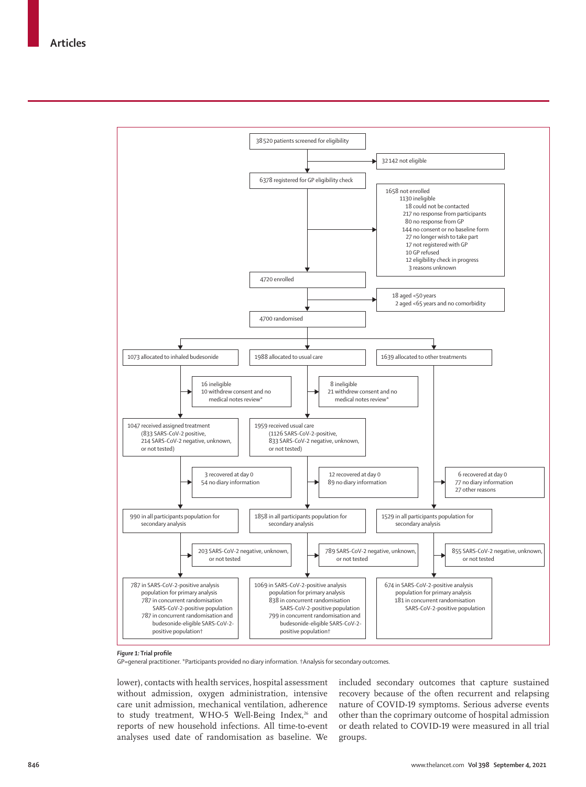

## *Figure 1:* **Trial profile**

GP=general practitioner. \*Participants provided no diary information. †Analysis for secondary outcomes.

lower), contacts with health services, hospital assessment without admission, oxygen administration, intensive care unit admission, mechanical ventilation, adherence to study treatment, WHO-5 Well-Being Index,<sup>26</sup> and reports of new household infections. All time-to-event analyses used date of randomisation as baseline. We

included secondary outcomes that capture sustained recovery because of the often recurrent and relapsing nature of COVID-19 symptoms. Serious adverse events other than the coprimary outcome of hospital admission or death related to COVID-19 were measured in all trial groups.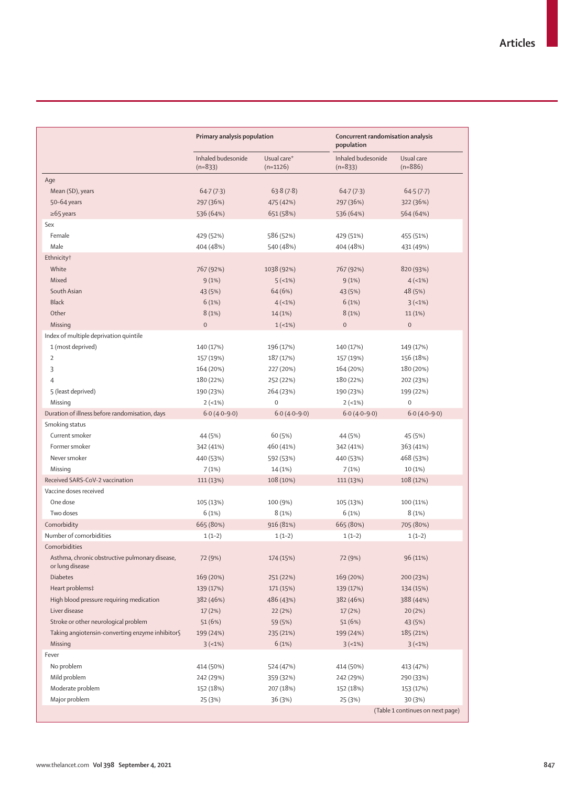|                                                                 | Primary analysis population     |                           | population                      | Concurrent randomisation analysis |  |  |
|-----------------------------------------------------------------|---------------------------------|---------------------------|---------------------------------|-----------------------------------|--|--|
|                                                                 | Inhaled budesonide<br>$(n=833)$ | Usual care*<br>$(n=1126)$ | Inhaled budesonide<br>$(n=833)$ | Usual care<br>$(n=886)$           |  |  |
| Age                                                             |                                 |                           |                                 |                                   |  |  |
| Mean (SD), years                                                | 64.7(7.3)                       | 63.8(7.8)                 | 64.7(7.3)                       | 64.5(7.7)                         |  |  |
| 50-64 years                                                     | 297 (36%)                       | 475 (42%)                 | 297 (36%)                       | 322 (36%)                         |  |  |
| $\geq 65$ years                                                 | 536 (64%)                       | 651 (58%)                 | 536 (64%)                       | 564 (64%)                         |  |  |
| Sex                                                             |                                 |                           |                                 |                                   |  |  |
| Female                                                          | 429 (52%)                       | 586 (52%)                 | 429 (51%)                       | 455 (51%)                         |  |  |
| Male                                                            | 404 (48%)                       | 540 (48%)                 | 404 (48%)                       | 431 (49%)                         |  |  |
| Ethnicity <sup>†</sup>                                          |                                 |                           |                                 |                                   |  |  |
| White                                                           | 767 (92%)                       | 1038 (92%)                | 767 (92%)                       | 820 (93%)                         |  |  |
| Mixed                                                           | 9(1%)                           | 5(1%)                     | 9(1%)                           | $4(-1%)$                          |  |  |
| South Asian                                                     | 43 (5%)                         | 64 (6%)                   | 43 (5%)                         | 48 (5%)                           |  |  |
| <b>Black</b>                                                    | 6(1%)                           | 4(1%)                     | 6(1%)                           | $3(-1%)$                          |  |  |
| Other                                                           | 8(1%)                           | 14 (1%)                   | 8(1%)                           | 11(1%)                            |  |  |
| Missing                                                         | $\mathbf 0$                     | $1(-1%)$                  | $\boldsymbol{0}$                | $\,0\,$                           |  |  |
| Index of multiple deprivation quintile                          |                                 |                           |                                 |                                   |  |  |
| 1 (most deprived)                                               | 140 (17%)                       | 196 (17%)                 | 140 (17%)                       | 149 (17%)                         |  |  |
| $\overline{2}$                                                  | 157 (19%)                       | 187 (17%)                 | 157 (19%)                       | 156 (18%)                         |  |  |
| 3                                                               | 164 (20%)                       | 227 (20%)                 | 164 (20%)                       | 180 (20%)                         |  |  |
| $\overline{4}$                                                  | 180 (22%)                       | 252 (22%)                 | 180 (22%)                       | 202 (23%)                         |  |  |
| 5 (least deprived)                                              | 190 (23%)                       | 264 (23%)                 | 190 (23%)                       | 199 (22%)                         |  |  |
| Missing                                                         | $2(-1%)$                        | $\mathsf 0$               | $2(-1%)$                        | $\mathsf{O}\xspace$               |  |  |
| Duration of illness before randomisation, days                  | $6.0(4.0-9.0)$                  | $6.0(4.0-9.0)$            | $6.0(4.0-9.0)$                  | $6.0(4.0-9.0)$                    |  |  |
| Smoking status                                                  |                                 |                           |                                 |                                   |  |  |
| Current smoker                                                  | 44 (5%)                         | 60 (5%)                   | 44 (5%)                         | 45 (5%)                           |  |  |
| Former smoker                                                   | 342 (41%)                       | 460 (41%)                 | 342 (41%)                       | 363 (41%)                         |  |  |
| Never smoker                                                    | 440 (53%)                       | 592 (53%)                 | 440 (53%)                       | 468 (53%)                         |  |  |
| Missing                                                         | 7(1%)                           | 14 (1%)                   | 7(1%)                           | 10 (1%)                           |  |  |
| Received SARS-CoV-2 vaccination                                 | 111 (13%)                       | 108 (10%)                 | 111 (13%)                       | 108 (12%)                         |  |  |
| Vaccine doses received                                          |                                 |                           |                                 |                                   |  |  |
| One dose                                                        | 105 (13%)                       | 100 (9%)                  | 105 (13%)                       | 100 (11%)                         |  |  |
| Two doses                                                       | 6(1%)                           | 8(1%)                     | 6(1%)                           | 8(1%)                             |  |  |
| Comorbidity                                                     | 665 (80%)                       | 916 (81%)                 | 665 (80%)                       | 705 (80%)                         |  |  |
| Number of comorbidities                                         | $1(1-2)$                        | $1(1-2)$                  | $1(1-2)$                        | $1(1-2)$                          |  |  |
| Comorbidities<br>Asthma, chronic obstructive pulmonary disease, | 72 (9%)                         | 174 (15%)                 | 72 (9%)                         | 96 (11%)                          |  |  |
| or lung disease                                                 |                                 |                           |                                 |                                   |  |  |
| <b>Diabetes</b>                                                 | 169 (20%)                       | 251 (22%)                 | 169 (20%)                       | 200 (23%)                         |  |  |
| Heart problems‡                                                 | 139 (17%)                       | 171 (15%)                 | 139 (17%)                       | 134 (15%)                         |  |  |
| High blood pressure requiring medication                        | 382 (46%)                       | 486 (43%)                 | 382 (46%)                       | 388 (44%)                         |  |  |
| Liver disease                                                   | 17(2%)                          | 22(2%)                    | 17 (2%)                         | 20(2%)                            |  |  |
| Stroke or other neurological problem                            | 51(6%)                          | 59 (5%)                   | 51 (6%)                         | 43 (5%)                           |  |  |
| Taking angiotensin-converting enzyme inhibitor§                 | 199 (24%)                       | 235 (21%)                 | 199 (24%)                       | 185 (21%)                         |  |  |
| Missing                                                         | $3(-1%)$                        | 6(1%)                     | 3(1%)                           | $3(-1%)$                          |  |  |
| Fever                                                           |                                 |                           |                                 |                                   |  |  |
| No problem                                                      | 414 (50%)                       | 524 (47%)                 | 414 (50%)                       | 413 (47%)                         |  |  |
| Mild problem                                                    | 242 (29%)                       | 359 (32%)                 | 242 (29%)                       | 290 (33%)                         |  |  |
| Moderate problem                                                | 152 (18%)                       | 207 (18%)                 | 152 (18%)                       | 153 (17%)                         |  |  |
| Major problem                                                   | 25 (3%)                         | 36 (3%)                   | 25 (3%)                         | 30 (3%)                           |  |  |
|                                                                 |                                 |                           |                                 | (Table 1 continues on next page)  |  |  |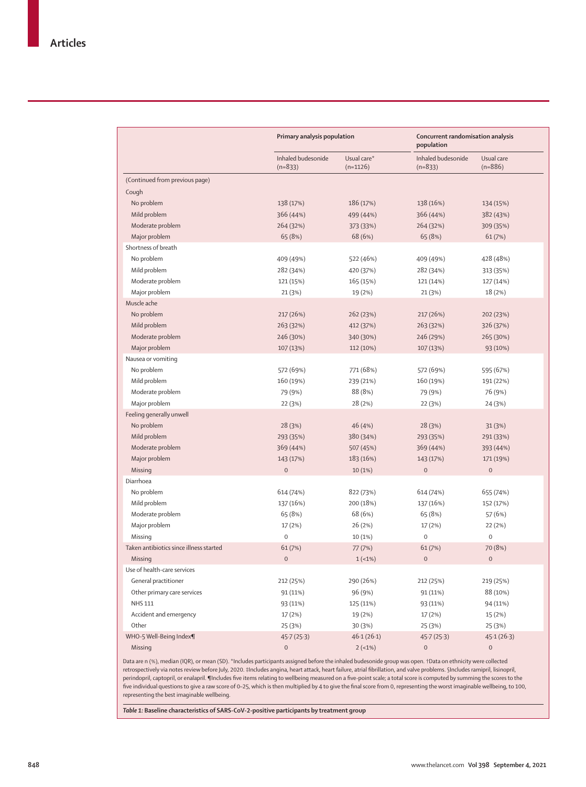| Usual care*<br>Inhaled budesonide<br>Usual care<br>Inhaled budesonide<br>$(n=833)$<br>$(n=833)$<br>$(n=886)$<br>$(n=1126)$<br>(Continued from previous page)<br>Cough<br>No problem<br>138 (17%)<br>186 (17%)<br>138 (16%)<br>134 (15%)<br>Mild problem<br>366 (44%)<br>366 (44%)<br>499 (44%)<br>382 (43%)<br>Moderate problem<br>264 (32%)<br>264 (32%)<br>373 (33%)<br>309 (35%)<br>Major problem<br>65 (8%)<br>68 (6%)<br>65 (8%)<br>61(7%)<br>Shortness of breath<br>No problem<br>522 (46%)<br>409 (49%)<br>409 (49%)<br>428 (48%)<br>Mild problem<br>282 (34%)<br>420 (37%)<br>282 (34%)<br>313 (35%)<br>Moderate problem<br>121 (15%)<br>165 (15%)<br>121 (14%)<br>127 (14%)<br>Major problem<br>21 (3%)<br>19 (2%)<br>21 (3%)<br>18 (2%)<br>Muscle ache<br>No problem<br>217 (26%)<br>262 (23%)<br>217 (26%)<br>202 (23%)<br>Mild problem<br>263 (32%)<br>412 (37%)<br>263 (32%)<br>326 (37%)<br>Moderate problem<br>246 (30%)<br>246 (29%)<br>265 (30%)<br>340 (30%)<br>Major problem<br>107 (13%)<br>112 (10%)<br>107 (13%)<br>93 (10%)<br>Nausea or vomiting |
|--------------------------------------------------------------------------------------------------------------------------------------------------------------------------------------------------------------------------------------------------------------------------------------------------------------------------------------------------------------------------------------------------------------------------------------------------------------------------------------------------------------------------------------------------------------------------------------------------------------------------------------------------------------------------------------------------------------------------------------------------------------------------------------------------------------------------------------------------------------------------------------------------------------------------------------------------------------------------------------------------------------------------------------------------------------------------|
|                                                                                                                                                                                                                                                                                                                                                                                                                                                                                                                                                                                                                                                                                                                                                                                                                                                                                                                                                                                                                                                                          |
|                                                                                                                                                                                                                                                                                                                                                                                                                                                                                                                                                                                                                                                                                                                                                                                                                                                                                                                                                                                                                                                                          |
|                                                                                                                                                                                                                                                                                                                                                                                                                                                                                                                                                                                                                                                                                                                                                                                                                                                                                                                                                                                                                                                                          |
|                                                                                                                                                                                                                                                                                                                                                                                                                                                                                                                                                                                                                                                                                                                                                                                                                                                                                                                                                                                                                                                                          |
|                                                                                                                                                                                                                                                                                                                                                                                                                                                                                                                                                                                                                                                                                                                                                                                                                                                                                                                                                                                                                                                                          |
|                                                                                                                                                                                                                                                                                                                                                                                                                                                                                                                                                                                                                                                                                                                                                                                                                                                                                                                                                                                                                                                                          |
|                                                                                                                                                                                                                                                                                                                                                                                                                                                                                                                                                                                                                                                                                                                                                                                                                                                                                                                                                                                                                                                                          |
|                                                                                                                                                                                                                                                                                                                                                                                                                                                                                                                                                                                                                                                                                                                                                                                                                                                                                                                                                                                                                                                                          |
|                                                                                                                                                                                                                                                                                                                                                                                                                                                                                                                                                                                                                                                                                                                                                                                                                                                                                                                                                                                                                                                                          |
|                                                                                                                                                                                                                                                                                                                                                                                                                                                                                                                                                                                                                                                                                                                                                                                                                                                                                                                                                                                                                                                                          |
|                                                                                                                                                                                                                                                                                                                                                                                                                                                                                                                                                                                                                                                                                                                                                                                                                                                                                                                                                                                                                                                                          |
|                                                                                                                                                                                                                                                                                                                                                                                                                                                                                                                                                                                                                                                                                                                                                                                                                                                                                                                                                                                                                                                                          |
|                                                                                                                                                                                                                                                                                                                                                                                                                                                                                                                                                                                                                                                                                                                                                                                                                                                                                                                                                                                                                                                                          |
|                                                                                                                                                                                                                                                                                                                                                                                                                                                                                                                                                                                                                                                                                                                                                                                                                                                                                                                                                                                                                                                                          |
|                                                                                                                                                                                                                                                                                                                                                                                                                                                                                                                                                                                                                                                                                                                                                                                                                                                                                                                                                                                                                                                                          |
|                                                                                                                                                                                                                                                                                                                                                                                                                                                                                                                                                                                                                                                                                                                                                                                                                                                                                                                                                                                                                                                                          |
|                                                                                                                                                                                                                                                                                                                                                                                                                                                                                                                                                                                                                                                                                                                                                                                                                                                                                                                                                                                                                                                                          |
|                                                                                                                                                                                                                                                                                                                                                                                                                                                                                                                                                                                                                                                                                                                                                                                                                                                                                                                                                                                                                                                                          |
| No problem<br>572 (69%)<br>771 (68%)<br>572 (69%)<br>595 (67%)                                                                                                                                                                                                                                                                                                                                                                                                                                                                                                                                                                                                                                                                                                                                                                                                                                                                                                                                                                                                           |
| Mild problem<br>160 (19%)<br>239 (21%)<br>160 (19%)<br>191 (22%)                                                                                                                                                                                                                                                                                                                                                                                                                                                                                                                                                                                                                                                                                                                                                                                                                                                                                                                                                                                                         |
| Moderate problem<br>88 (8%)<br>79 (9%)<br>79 (9%)<br>76 (9%)                                                                                                                                                                                                                                                                                                                                                                                                                                                                                                                                                                                                                                                                                                                                                                                                                                                                                                                                                                                                             |
| Major problem<br>28 (2%)<br>22 (3%)<br>22 (3%)<br>24 (3%)                                                                                                                                                                                                                                                                                                                                                                                                                                                                                                                                                                                                                                                                                                                                                                                                                                                                                                                                                                                                                |
| Feeling generally unwell                                                                                                                                                                                                                                                                                                                                                                                                                                                                                                                                                                                                                                                                                                                                                                                                                                                                                                                                                                                                                                                 |
| No problem<br>46 (4%)<br>28(3%)<br>28 (3%)<br>31(3%)                                                                                                                                                                                                                                                                                                                                                                                                                                                                                                                                                                                                                                                                                                                                                                                                                                                                                                                                                                                                                     |
| Mild problem<br>293 (35%)<br>380 (34%)<br>293 (35%)<br>291 (33%)                                                                                                                                                                                                                                                                                                                                                                                                                                                                                                                                                                                                                                                                                                                                                                                                                                                                                                                                                                                                         |
| Moderate problem<br>369 (44%)<br>507 (45%)<br>369 (44%)<br>393 (44%)                                                                                                                                                                                                                                                                                                                                                                                                                                                                                                                                                                                                                                                                                                                                                                                                                                                                                                                                                                                                     |
| Major problem<br>183 (16%)<br>143 (17%)<br>143 (17%)<br>171 (19%)                                                                                                                                                                                                                                                                                                                                                                                                                                                                                                                                                                                                                                                                                                                                                                                                                                                                                                                                                                                                        |
| $\mathbf 0$<br>$\mathbf 0$<br>Missing<br>$\mathsf{O}\xspace$<br>10(1%)                                                                                                                                                                                                                                                                                                                                                                                                                                                                                                                                                                                                                                                                                                                                                                                                                                                                                                                                                                                                   |
| Diarrhoea                                                                                                                                                                                                                                                                                                                                                                                                                                                                                                                                                                                                                                                                                                                                                                                                                                                                                                                                                                                                                                                                |
| No problem<br>614 (74%)<br>822 (73%)<br>614 (74%)<br>655 (74%)                                                                                                                                                                                                                                                                                                                                                                                                                                                                                                                                                                                                                                                                                                                                                                                                                                                                                                                                                                                                           |
| Mild problem<br>200 (18%)<br>137 (16%)<br>137 (16%)<br>152 (17%)                                                                                                                                                                                                                                                                                                                                                                                                                                                                                                                                                                                                                                                                                                                                                                                                                                                                                                                                                                                                         |
| Moderate problem<br>65 (8%)<br>68 (6%)<br>65 (8%)<br>57 (6%)                                                                                                                                                                                                                                                                                                                                                                                                                                                                                                                                                                                                                                                                                                                                                                                                                                                                                                                                                                                                             |
| Major problem<br>17 (2%)<br>26 (2%)<br>17 (2%)<br>22 (2%)                                                                                                                                                                                                                                                                                                                                                                                                                                                                                                                                                                                                                                                                                                                                                                                                                                                                                                                                                                                                                |
| $\mathbf 0$<br>$\mathbf 0$<br>$\mathsf{O}$<br>Missing<br>10 (1%)                                                                                                                                                                                                                                                                                                                                                                                                                                                                                                                                                                                                                                                                                                                                                                                                                                                                                                                                                                                                         |
| Taken antibiotics since illness started<br>61(7%)<br>70 (8%)<br>77 (7%)<br>61 (7%)                                                                                                                                                                                                                                                                                                                                                                                                                                                                                                                                                                                                                                                                                                                                                                                                                                                                                                                                                                                       |
| $\mathbf 0$<br>$\mathbf 0$<br>$\mathsf{O}\xspace$<br>Missing<br>$1(-1%)$                                                                                                                                                                                                                                                                                                                                                                                                                                                                                                                                                                                                                                                                                                                                                                                                                                                                                                                                                                                                 |
| Use of health-care services                                                                                                                                                                                                                                                                                                                                                                                                                                                                                                                                                                                                                                                                                                                                                                                                                                                                                                                                                                                                                                              |
| General practitioner<br>212 (25%)<br>290 (26%)<br>212 (25%)<br>219 (25%)                                                                                                                                                                                                                                                                                                                                                                                                                                                                                                                                                                                                                                                                                                                                                                                                                                                                                                                                                                                                 |
| Other primary care services<br>88 (10%)<br>96 (9%)<br>91 (11%)<br>91 (11%)                                                                                                                                                                                                                                                                                                                                                                                                                                                                                                                                                                                                                                                                                                                                                                                                                                                                                                                                                                                               |
| NHS 111<br>125 (11%)<br>93 (11%)<br>93 (11%)<br>94 (11%)                                                                                                                                                                                                                                                                                                                                                                                                                                                                                                                                                                                                                                                                                                                                                                                                                                                                                                                                                                                                                 |
| Accident and emergency                                                                                                                                                                                                                                                                                                                                                                                                                                                                                                                                                                                                                                                                                                                                                                                                                                                                                                                                                                                                                                                   |
| 17 (2%)<br>19 (2%)<br>17 (2%)<br>15 (2%)<br>Other<br>30 (3%)                                                                                                                                                                                                                                                                                                                                                                                                                                                                                                                                                                                                                                                                                                                                                                                                                                                                                                                                                                                                             |
| 25 (3%)<br>25 (3%)<br>25 (3%)<br>WHO-5 Well-Being Index¶<br>46.1(26.1)<br>45.7(25.3)                                                                                                                                                                                                                                                                                                                                                                                                                                                                                                                                                                                                                                                                                                                                                                                                                                                                                                                                                                                     |
| 45.7(25.3)<br>45.1(26.3)<br>$\,0\,$<br>Missing<br>$2(-1%)$<br>$\mathsf{O}\xspace$<br>$\mathsf{O}\xspace$                                                                                                                                                                                                                                                                                                                                                                                                                                                                                                                                                                                                                                                                                                                                                                                                                                                                                                                                                                 |

Data are n (%), median (IQR), or mean (SD). \*Includes participants assigned before the inhaled budesonide group was open. †Data on ethnicity were collected retrospectively via notes review before July, 2020. ‡Includes angina, heart attack, heart failure, atrial fibrillation, and valve problems. §Includes ramipril, lisinopril, perindopril, captopril, or enalapril. ¶Includes five items relating to wellbeing measured on a five-point scale; a total score is computed by summing the scores to the five individual questions to give a raw score of 0–25, which is then multiplied by 4 to give the final score from 0, representing the worst imaginable wellbeing, to 100, representing the best imaginable wellbeing.

*Table 1:* **Baseline characteristics of SARS-CoV-2-positive participants by treatment group**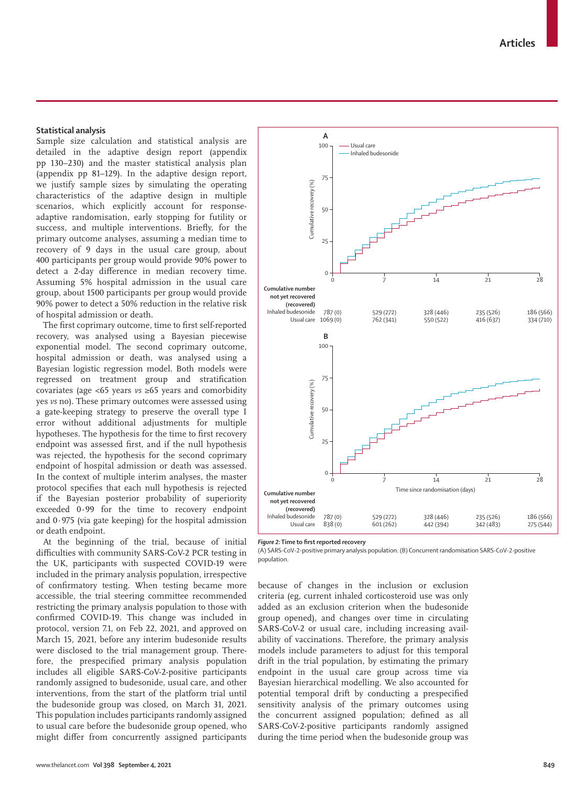## **Statistical analysis**

Sample size calculation and statistical analysis are detailed in the adaptive design report (appendix pp 130–230) and the master statistical analysis plan (appendix pp 81–129). In the adaptive design report, we justify sample sizes by simulating the operating characteristics of the adaptive design in multiple scenarios, which explicitly account for responseadaptive randomisation, early stopping for futility or success, and multiple interventions. Briefly, for the primary outcome analyses, assuming a median time to recovery of 9 days in the usual care group, about 400 participants per group would provide 90% power to detect a 2-day difference in median recovery time. Assuming 5% hospital admission in the usual care group, about 1500 participants per group would provide 90% power to detect a 50% reduction in the relative risk of hospital admission or death.

The first coprimary outcome, time to first self-reported recovery, was analysed using a Bayesian piecewise exponential model. The second coprimary outcome, hospital admission or death, was analysed using a Bayesian logistic regression model. Both models were regressed on treatment group and stratification covariates (age <65 years *vs* ≥65 years and comorbidity yes *vs* no). These primary outcomes were assessed using a gate-keeping strategy to preserve the overall type I error without additional adjustments for multiple hypotheses. The hypothesis for the time to first recovery endpoint was assessed first, and if the null hypothesis was rejected, the hypothesis for the second coprimary endpoint of hospital admission or death was assessed. In the context of multiple interim analyses, the master protocol specifies that each null hypothesis is rejected if the Bayesian posterior probability of superiority exceeded 0**·**99 for the time to recovery endpoint and  $0.975$  (via gate keeping) for the hospital admission or death endpoint.

At the beginning of the trial, because of initial difficulties with community SARS-CoV-2 PCR testing in the UK, participants with suspected COVID-19 were included in the primary analysis population, irrespective of confirmatory testing. When testing became more accessible, the trial steering committee recommended restricting the primary analysis population to those with confirmed COVID-19. This change was included in protocol, version 7.1, on Feb 22, 2021, and approved on March 15, 2021, before any interim budesonide results were disclosed to the trial management group. Therefore, the prespecified primary analysis population includes all eligible SARS-CoV-2-positive participants randomly assigned to budesonide, usual care, and other interventions, from the start of the platform trial until the budesonide group was closed, on March 31, 2021. This population includes participants randomly assigned to usual care before the budesonide group opened, who might differ from concurrently assigned participants



*Figure 2:* **Time to first reported recovery**

(A) SARS-CoV-2-positive primary analysis population. (B) Concurrent randomisation SARS-CoV-2-positive population.

because of changes in the inclusion or exclusion criteria (eg, current inhaled corticosteroid use was only added as an exclusion criterion when the budesonide group opened), and changes over time in circulating SARS-CoV-2 or usual care, including increasing availability of vaccinations. Therefore, the primary analysis models include parameters to adjust for this temporal drift in the trial population, by estimating the primary endpoint in the usual care group across time via Bayesian hierarchical modelling. We also accounted for potential temporal drift by conducting a prespecified sensitivity analysis of the primary outcomes using the concurrent assigned population; defined as all SARS-CoV-2-positive participants randomly assigned during the time period when the budesonide group was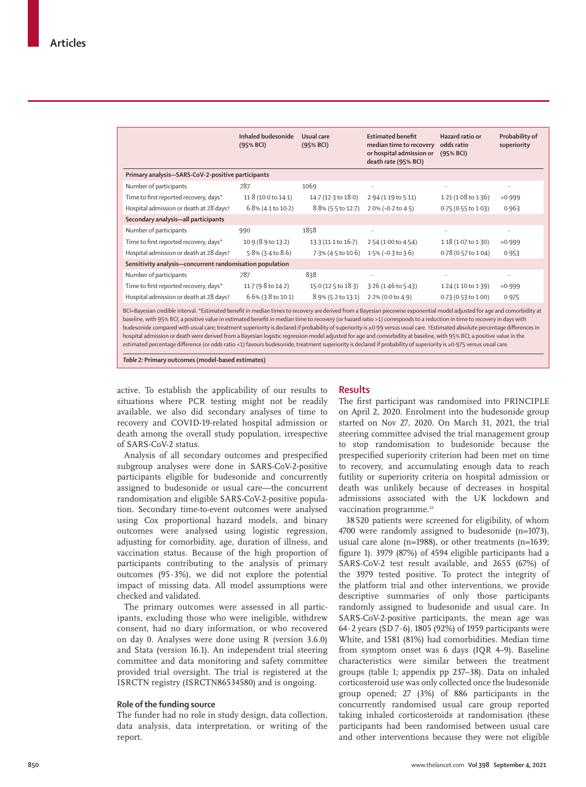|                                                                                                                                                                                                                                                                                                                                                                                                                                                                                                                                           | Inhaled budesonide<br>(95% BCI) | Usual care<br>(95% BCI) | <b>Estimated benefit</b><br>median time to recovery<br>or hospital admission or<br>death rate (95% BCI) | Hazard ratio or<br>odds ratio<br>(95% BCI) | Probability of<br>superiority |  |  |  |
|-------------------------------------------------------------------------------------------------------------------------------------------------------------------------------------------------------------------------------------------------------------------------------------------------------------------------------------------------------------------------------------------------------------------------------------------------------------------------------------------------------------------------------------------|---------------------------------|-------------------------|---------------------------------------------------------------------------------------------------------|--------------------------------------------|-------------------------------|--|--|--|
| Primary analysis-SARS-CoV-2-positive participants                                                                                                                                                                                                                                                                                                                                                                                                                                                                                         |                                 |                         |                                                                                                         |                                            |                               |  |  |  |
| Number of participants                                                                                                                                                                                                                                                                                                                                                                                                                                                                                                                    | 787                             | 1069                    |                                                                                                         | $\ddotsc$                                  | $\ddotsc$                     |  |  |  |
| Time to first reported recovery, days*                                                                                                                                                                                                                                                                                                                                                                                                                                                                                                    | 11.8 (10.0 to 14.1)             | 14.7 (12.3 to 18.0)     | 2.94 (1.19 to 5.11)                                                                                     | 1.21(1.08 to 1.36)                         | >0.999                        |  |  |  |
| Hospital admission or death at 28 days†                                                                                                                                                                                                                                                                                                                                                                                                                                                                                                   | $6.8\%$ (4.1 to 10.2)           | 8.8% (5.5 to 12.7)      | $2.0\%$ (-0.2 to 4.5)                                                                                   | 0.75 (0.55 to 1.03)                        | 0.963                         |  |  |  |
| Secondary analysis-all participants                                                                                                                                                                                                                                                                                                                                                                                                                                                                                                       |                                 |                         |                                                                                                         |                                            |                               |  |  |  |
| Number of participants                                                                                                                                                                                                                                                                                                                                                                                                                                                                                                                    | 990                             | 1858                    |                                                                                                         | $\ddotsc$                                  | $\ldots$                      |  |  |  |
| Time to first reported recovery, days*                                                                                                                                                                                                                                                                                                                                                                                                                                                                                                    | 10.9 (8.9 to 13.2)              | 13.3 (11.1 to 16.7)     | 2.54 (1.00 to 4.54)                                                                                     | 1.18(1.07 to 1.30)                         | >0.999                        |  |  |  |
| Hospital admission or death at 28 days†                                                                                                                                                                                                                                                                                                                                                                                                                                                                                                   | 5.8% (3.4 to 8.6)               | 7.3% (4.5 to 10.6)      | $1.5\%$ (-0.3 to 3.6)                                                                                   | 0.78 (0.57 to 1.04)                        | 0.953                         |  |  |  |
| Sensitivity analysis-concurrent randomisation population                                                                                                                                                                                                                                                                                                                                                                                                                                                                                  |                                 |                         |                                                                                                         |                                            |                               |  |  |  |
| Number of participants                                                                                                                                                                                                                                                                                                                                                                                                                                                                                                                    | 787                             | 838                     |                                                                                                         | $\ddotsc$                                  | $\ldots$                      |  |  |  |
| Time to first reported recovery, days*                                                                                                                                                                                                                                                                                                                                                                                                                                                                                                    | 11.7 (9.8 to 14.2)              | 15.0 (12.5 to 18.3)     | $3.26$ (1.46 to 5.43)                                                                                   | 1.24 (1.10 to 1.39)                        | >0.999                        |  |  |  |
| Hospital admission or death at 28 days†                                                                                                                                                                                                                                                                                                                                                                                                                                                                                                   | $6.6\%$ (3.8 to 10.1)           | 8.9% (5.2 to 13.1)      | 2.2% (0.0 to 4.9)                                                                                       | 0.73 (0.53 to 1.00)                        | 0.975                         |  |  |  |
| BCI=Bayesian credible interval. *Estimated benefit in median times to recovery are derived from a Bayesian piecewise exponential model adjusted for age and comorbidity at<br>baseline, with 95% BCI; a positive value in estimated benefit in median time to recovery (or hazard ratio >1) corresponds to a reduction in time to recovery in days with<br>budesonide compared with usual care; treatment superiority is declared if probability of superiority is ≥0.99 versus usual care. †Estimated absolute percentage differences in |                                 |                         |                                                                                                         |                                            |                               |  |  |  |

hospital admission or death were derived from a Bayesian logistic regression model adjusted for age and comorbidity at baseline, with 95% BCI; a positive value in the estimated percentage difference (or odds ratio <1) favours budesonide; treatment superiority is declared if probability of superiority is ≥0·975 versus usual care.

*Table 2:* **Primary outcomes (model-based estimates)**

active. To establish the applicability of our results to situations where PCR testing might not be readily available, we also did secondary analyses of time to recovery and COVID-19-related hospital admission or death among the overall study population, irrespective of SARS-CoV-2 status.

Analysis of all secondary outcomes and prespecified subgroup analyses were done in SARS-CoV-2-positive participants eligible for budesonide and concurrently assigned to budesonide or usual care—the concurrent randomisation and eligible SARS-CoV-2-positive population. Secondary time-to-event outcomes were analysed using Cox proportional hazard models, and binary outcomes were analysed using logistic regression, adjusting for comorbidity, age, duration of illness, and vaccination status. Because of the high proportion of participants contributing to the analysis of primary outcomes (95·3%), we did not explore the potential impact of missing data. All model assumptions were checked and validated.

The primary outcomes were assessed in all participants, excluding those who were ineligible, withdrew consent, had no diary information, or who recovered on day 0. Analyses were done using R (version 3.6.0) and Stata (version 16.1). An independent trial steering committee and data monitoring and safety committee provided trial oversight. The trial is registered at the ISRCTN registry (ISRCTN86534580) and is ongoing.

#### **Role of the funding source**

The funder had no role in study design, data collection, data analysis, data interpretation, or writing of the report.

### **Results**

The first participant was randomised into PRINCIPLE on April 2, 2020. Enrolment into the budesonide group started on Nov 27, 2020. On March 31, 2021, the trial steering committee advised the trial management group to stop randomisation to budesonide because the prespecified superiority criterion had been met on time to recovery, and accumulating enough data to reach futility or superiority criteria on hospital admission or death was unlikely because of decreases in hospital admissions associated with the UK lockdown and vaccination programme.<sup>22</sup>

38 520 patients were screened for eligibility, of whom 4700 were randomly assigned to budesonide (n=1073), usual care alone (n=1988), or other treatments (n=1639; figure 1). 3979 (87%) of 4594 eligible participants had a SARS-CoV-2 test result available, and 2655 (67%) of the 3979 tested positive. To protect the integrity of the platform trial and other interventions, we provide descriptive summaries of only those participants randomly assigned to budesonide and usual care. In SARS-CoV-2-positive participants, the mean age was 64·2 years (SD 7·6), 1805 (92%) of 1959 participants were White, and 1581 (81%) had comorbidities. Median time from symptom onset was 6 days (IQR 4–9). Baseline characteristics were similar between the treatment groups (table 1; appendix pp 237–38). Data on inhaled corticosteroid use was only collected once the budesonide group opened; 27 (3%) of 886 participants in the concurrently randomised usual care group reported taking inhaled corticosteroids at randomisation (these participants had been randomised between usual care and other interventions because they were not eligible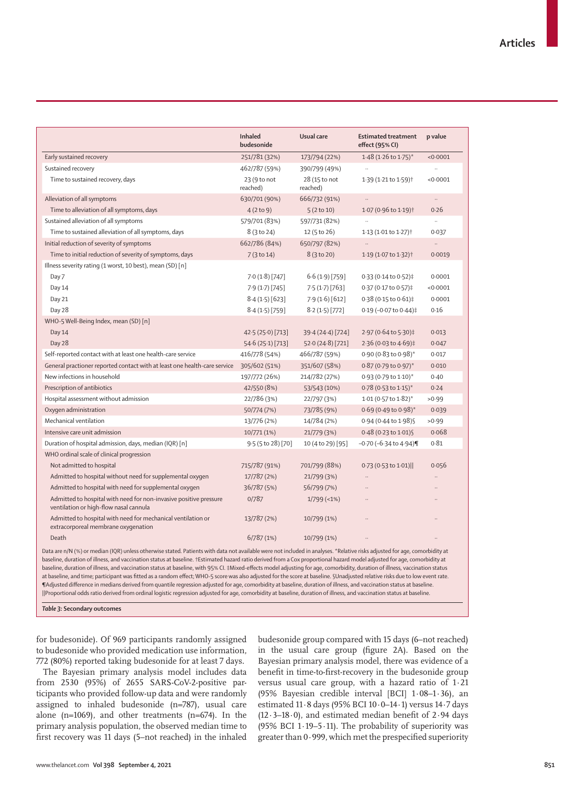|                                                                                                             | <b>Inhaled</b><br>budesonide | Usual care                | <b>Estimated treatment</b><br>effect (95% CI) | p value   |
|-------------------------------------------------------------------------------------------------------------|------------------------------|---------------------------|-----------------------------------------------|-----------|
| Early sustained recovery                                                                                    | 251/781 (32%)                | 173/794 (22%)             | $1.48$ (1.26 to 1.75) <sup>*</sup>            | < 0.0001  |
| Sustained recovery                                                                                          | 462/787 (59%)                | 390/799 (49%)             |                                               |           |
| Time to sustained recovery, days                                                                            | 23 (9 to not<br>reached)     | 28 (15 to not<br>reached) | 1.39 (1.21 to 1.59) <sup>†</sup>              | < 0.0001  |
| Alleviation of all symptoms                                                                                 | 630/701 (90%)                | 666/732 (91%)             | $\ddotsc$                                     | $\ddotsc$ |
| Time to alleviation of all symptoms, days                                                                   | 4(2 to 9)                    | 5(2 to 10)                | 1.07 (0.96 to 1.19) <sup>†</sup>              | 0.26      |
| Sustained alleviation of all symptoms                                                                       | 579/701 (83%)                | 597/731 (82%)             | $\ddot{\phantom{0}}$                          | $\ddotsc$ |
| Time to sustained alleviation of all symptoms, days                                                         | 8 (3 to 24)                  | 12 (5 to 26)              | 1.13 (1.01 to 1.27) <sup>†</sup>              | 0.037     |
| Initial reduction of severity of symptoms                                                                   | 662/786 (84%)                | 650/797 (82%)             |                                               | $\ddotsc$ |
| Time to initial reduction of severity of symptoms, days                                                     | 7 (3 to 14)                  | 8 (3 to 20)               | 1.19 (1.07 to 1.32) <sup>†</sup>              | 0.0019    |
| Illness severity rating (1 worst, 10 best), mean (SD) [n]                                                   |                              |                           |                                               |           |
| Day 7                                                                                                       | 7.0(1.8)[747]                | 6.6(1.9)[759]             | 0.33 (0.14 to 0.52)‡                          | 0.0001    |
| Day 14                                                                                                      | 7.9(1.7)[745]                | 7.5(1.7)[763]             | 0.37 (0.17 to 0.57)‡                          | < 0.0001  |
| Day 21                                                                                                      | 8.4(1.5)[623]                | 7.9(1.6)[612]             | 0.38 (0.15 to 0.61)‡                          | 0.0001    |
| Day 28                                                                                                      | 8.4(1.5)[759]                | 8.2(1.5)[772]             | 0.19 (-0.07 to 0.44)‡                         | 0.16      |
| WHO-5 Well-Being Index, mean (SD) [n]                                                                       |                              |                           |                                               |           |
| Day 14                                                                                                      | 42.5 (25.0) [713]            | 39.4 (24.4) [724]         | 2.97 (0.64 to 5.30)‡                          | 0.013     |
| Day 28                                                                                                      | 54.6(25.1)[713]              | 52.0(24.8)[721]           | 2.36 (0.03 to 4.69)‡                          | 0.047     |
| Self-reported contact with at least one health-care service                                                 | 416/778 (54%)                | 466/787 (59%)             | 0.90 (0.83 to 0.98)*                          | 0.017     |
| General practioner reported contact with at least one health-care service                                   | 305/602 (51%)                | 351/607 (58%)             | $0.87$ (0.79 to 0.97)*                        | 0.010     |
| New infections in household                                                                                 | 197/772 (26%)                | 214/782 (27%)             | 0.93 (0.79 to 1.10)*                          | 0.40      |
| Prescription of antibiotics                                                                                 | 42/550 (8%)                  | 53/543 (10%)              | 0.78 (0.53 to 1.15)*                          | 0.24      |
| Hospital assessment without admission                                                                       | 22/786 (3%)                  | 22/797 (3%)               | 1.01 (0.57 to 1.82)*                          | >0.99     |
| Oxygen administration                                                                                       | 50/774 (7%)                  | 73/785 (9%)               | 0.69 (0.49 to 0.98)*                          | 0.039     |
| Mechanical ventilation                                                                                      | 13/776 (2%)                  | 14/784 (2%)               | 0.94 (0.44 to 1.98) §                         | >0.99     |
| Intensive care unit admission                                                                               | 10/771 (1%)                  | 21/779 (3%)               | 0.48 (0.23 to 1.01) §                         | 0.068     |
| Duration of hospital admission, days, median (IQR) [n]                                                      | 9.5 (5 to 28) [70]           | 10 (4 to 29) [95]         | $-0.70$ ( $-6.34$ to $4.94$ )                 | 0.81      |
| WHO ordinal scale of clinical progression                                                                   |                              |                           |                                               |           |
| Not admitted to hospital                                                                                    | 715/787 (91%)                | 701/799 (88%)             | 0.73 (0.53 to 1.01)                           | 0.056     |
| Admitted to hospital without need for supplemental oxygen                                                   | 17/787 (2%)                  | 21/799 (3%)               |                                               |           |
| Admitted to hospital with need for supplemental oxygen                                                      | 36/787 (5%)                  | 56/799 (7%)               |                                               |           |
| Admitted to hospital with need for non-invasive positive pressure<br>ventilation or high-flow nasal cannula | 0/787                        | $1/799$ (<1%)             |                                               |           |
| Admitted to hospital with need for mechanical ventilation or<br>extracorporeal membrane oxygenation         | 13/787 (2%)                  | 10/799 (1%)               |                                               |           |
| Death                                                                                                       | 6/787(1%)                    | 10/799 (1%)               |                                               |           |

baseline, duration of illness, and vaccination status at baseline. †Estimated hazard ratio derived from a Cox proportional hazard model adjusted for age, comorbidity at baseline, duration of illness, and vaccination status at baseline, with 95% CI. ‡Mixed-effects model adjusting for age, comorbidity, duration of illness, vaccination status at baseline, and time; participant was fitted as a random effect; WHO-5 score was also adjusted for the score at baseline. §Unadjusted relative risks due to low event rate. ¶Adjusted difference in medians derived from quantile regression adjusted for age, comorbidity at baseline, duration of illness, and vaccination status at baseline. ||Proportional odds ratio derived from ordinal logistic regression adjusted for age, comorbidity at baseline, duration of illness, and vaccination status at baseline.

*Table 3:* **Secondary outcomes**

for budesonide). Of 969 participants randomly assigned to budesonide who provided medication use information, 772 (80%) reported taking budesonide for at least 7 days.

The Bayesian primary analysis model includes data from 2530 (95%) of 2655 SARS-CoV-2-positive participants who provided follow-up data and were randomly assigned to inhaled budesonide (n=787), usual care alone (n=1069), and other treatments (n=674). In the primary analysis population, the observed median time to first recovery was 11 days (5–not reached) in the inhaled budesonide group compared with 15 days (6–not reached) in the usual care group (figure 2A). Based on the Bayesian primary analysis model, there was evidence of a benefit in time-to-first-recovery in the budesonide group versus usual care group, with a hazard ratio of 1·21 (95% Bayesian credible interval [BCI] 1·08–1·36), an estimated 11·8 days (95% BCI 10·0–14·1) versus 14·7 days (12 $\cdot$ 3-18 $\cdot$ 0), and estimated median benefit of 2 $\cdot$ 94 days (95% BCI 1 $\cdot$ 19 $-$ 5 $\cdot$ 11). The probability of superiority was greater than 0·999, which met the prespecified superiority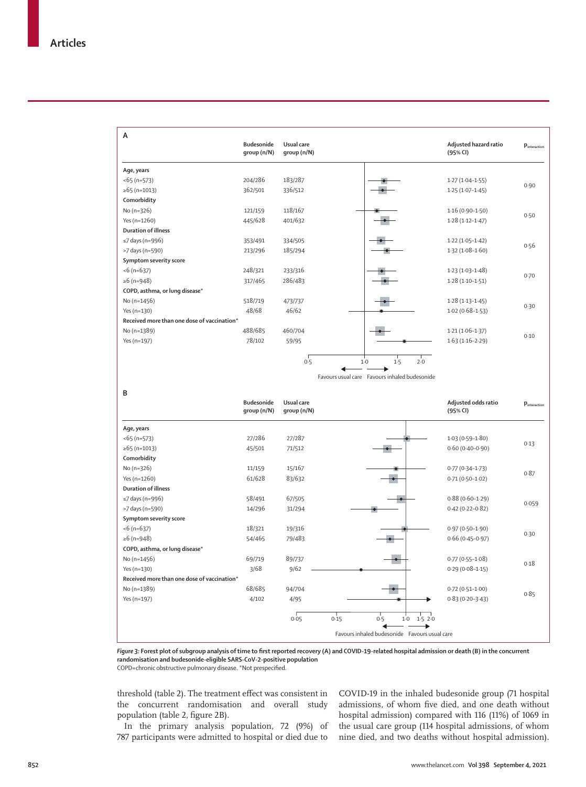| $\mathsf{A}$                                | <b>Budesonide</b><br>qroup (n/N) | Usual care<br>qroup (n/N) |                                               | Adjusted hazard ratio<br>(95% CI) | $p_{\text{interaction}}$ |
|---------------------------------------------|----------------------------------|---------------------------|-----------------------------------------------|-----------------------------------|--------------------------|
| Age, years                                  |                                  |                           |                                               |                                   |                          |
| $<$ 65 (n=573)                              | 204/286                          | 183/287                   |                                               | $1.27(1.04-1.55)$                 |                          |
| ≥65 (n=1013)                                | 362/501                          | 336/512                   |                                               | $1.25(1.07 - 1.45)$               | 0.90                     |
| Comorbidity                                 |                                  |                           |                                               |                                   |                          |
| No (n=326)                                  | 121/159                          | 118/167                   |                                               | $1.16(0.90 - 1.50)$               |                          |
| Yes (n=1260)                                | 445/628                          | 401/632                   |                                               | $1.28(1.12 - 1.47)$               | 0.50                     |
| <b>Duration of illness</b>                  |                                  |                           |                                               |                                   |                          |
| $\leq$ 7 days (n=996)                       | 353/491                          | 334/505                   |                                               | $1.22(1.05-1.42)$                 | 0.56                     |
| >7 days (n=590)                             | 213/296                          | 185/294                   |                                               | $1.32(1.08-1.60)$                 |                          |
| Symptom severity score                      |                                  |                           |                                               |                                   |                          |
| $<$ 6 (n=637)                               | 248/321                          | 233/316                   |                                               | $1.23(1.03 - 1.48)$               | 0.70                     |
| ≥6 (n=948)                                  | 317/465                          | 286/483                   |                                               | $1.28(1.10-1.51)$                 |                          |
| COPD, asthma, or lung disease*              |                                  |                           |                                               |                                   |                          |
| No (n=1456)                                 | 518/719                          | 473/737                   |                                               | $1.28(1.13 - 1.45)$               | 0.30                     |
| Yes (n=130)                                 | 48/68                            | 46/62                     |                                               | $1.02(0.68 - 1.53)$               |                          |
| Received more than one dose of vaccination* |                                  |                           |                                               |                                   |                          |
| No (n=1389)                                 | 488/685                          | 460/704                   |                                               | $1.21(1.06-1.37)$                 | 0.10                     |
| Yes (n=197)                                 | 78/102                           | 59/95                     |                                               | $1.63(1.16-2.29)$                 |                          |
|                                             |                                  | 0.5                       | 1.5<br>$1-0$                                  | $2-0$                             |                          |
|                                             |                                  |                           | Favours usual care Favours inhaled budesonide |                                   |                          |

**B**

**A**

| ◡                                           | <b>Budesonide</b><br>group (n/N) | Usual care<br>qroup (n/N) |                                               | Adjusted odds ratio<br>(95% CI) | $p_{\text{interaction}}$ |
|---------------------------------------------|----------------------------------|---------------------------|-----------------------------------------------|---------------------------------|--------------------------|
| Age, years                                  |                                  |                           |                                               |                                 |                          |
| $<$ 65 (n=573)                              | 27/286                           | 27/287                    |                                               | $1.03(0.59 - 1.80)$             | 0.13                     |
| $\ge 65$ (n=1013)                           | 45/501                           | 71/512                    |                                               | $0.60(0.40 - 0.90)$             |                          |
| Comorbidity                                 |                                  |                           |                                               |                                 |                          |
| No $(n=326)$                                | 11/159                           | 15/167                    |                                               | $0.77(0.34 - 1.73)$             | 0.87                     |
| Yes (n=1260)                                | 61/628                           | 83/632                    |                                               | $0.71(0.50-1.02)$               |                          |
| <b>Duration of illness</b>                  |                                  |                           |                                               |                                 |                          |
| $\leq$ 7 days (n=996)                       | 58/491                           | 67/505                    |                                               | $0.88(0.60 - 1.29)$             | 0.059                    |
| >7 days (n=590)                             | 14/296                           | 31/294                    |                                               | $0.42(0.22 - 0.82)$             |                          |
| Symptom severity score                      |                                  |                           |                                               |                                 |                          |
| $<$ 6 (n=637)                               | 18/321                           | 19/316                    |                                               | $0.97(0.50 - 1.90)$             | 0.30                     |
| ≥6 (n=948)                                  | 54/465                           | 79/483                    |                                               | $0.66(0.45 - 0.97)$             |                          |
| COPD, asthma, or lung disease*              |                                  |                           |                                               |                                 |                          |
| No (n=1456)                                 | 69/719                           | 89/737                    |                                               | $0.77(0.55 - 1.08)$             | 0.18                     |
| Yes (n=130)                                 | 3/68                             | 9/62                      |                                               | $0.29(0.08 - 1.15)$             |                          |
| Received more than one dose of vaccination* |                                  |                           |                                               |                                 |                          |
| No (n=1389)                                 | 68/685                           | 94/704                    |                                               | $0.72(0.51 - 1.00)$             | 0.85                     |
| Yes (n=197)                                 | 4/102                            | 4/95                      |                                               | $0.83(0.20 - 3.43)$             |                          |
|                                             |                                  | 0.05                      | 0.15<br>0.5<br>$1-0$<br>1.520                 |                                 |                          |
|                                             |                                  |                           | Favours inhaled budesonide Favours usual care |                                 |                          |

*Figure 3:* **Forest plot of subgroup analysis of time to first reported recovery (A) and COVID-19-related hospital admission or death (B) in the concurrent randomisation and budesonide-eligible SARS-CoV-2-positive population** COPD=chronic obstructive pulmonary disease. \*Not prespecified.

threshold (table 2). The treatment effect was consistent in the concurrent randomisation and overall study population (table 2, figure 2B).

In the primary analysis population, 72 (9%) of 787 participants were admitted to hospital or died due to

COVID-19 in the inhaled budesonide group (71 hospital admissions, of whom five died, and one death without hospital admission) compared with 116 (11%) of 1069 in the usual care group (114 hospital admissions, of whom nine died, and two deaths without hospital admission).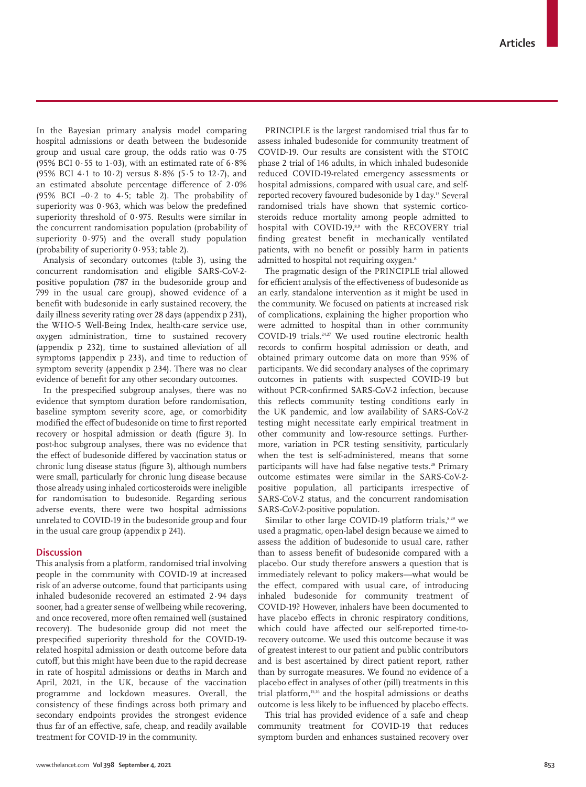In the Bayesian primary analysis model comparing hospital admissions or death between the budesonide group and usual care group, the odds ratio was 0·75 (95% BCI 0 $\cdot$  55 to 1 $\cdot$  03), with an estimated rate of 6 $\cdot$ 8% (95% BCI 4·1 to 10·2) versus 8·8% (5·5 to 12·7), and an estimated absolute percentage difference of 2·0% (95% BCI –0·2 to 4·5; table 2). The probability of superiority was 0·963, which was below the predefined superiority threshold of 0·975. Results were similar in the concurrent randomisation population (probability of superiority 0·975) and the overall study population (probability of superiority 0·953; table 2).

Analysis of secondary outcomes (table 3), using the concurrent randomisation and eligible SARS-CoV-2 positive population (787 in the budesonide group and 799 in the usual care group), showed evidence of a benefit with budesonide in early sustained recovery, the daily illness severity rating over 28 days (appendix p 231), the WHO-5 Well-Being Index, health-care service use, oxygen administration, time to sustained recovery (appendix p 232), time to sustained alleviation of all symptoms (appendix p 233), and time to reduction of symptom severity (appendix p 234). There was no clear evidence of benefit for any other secondary outcomes.

In the prespecified subgroup analyses, there was no evidence that symptom duration before randomisation, baseline symptom severity score, age, or comorbidity modified the effect of budesonide on time to first reported recovery or hospital admission or death (figure 3). In post-hoc subgroup analyses, there was no evidence that the effect of budesonide differed by vaccination status or chronic lung disease status (figure 3), although numbers were small, particularly for chronic lung disease because those already using inhaled corticosteroids were ineligible for randomisation to budesonide. Regarding serious adverse events, there were two hospital admissions unrelated to COVID-19 in the budesonide group and four in the usual care group (appendix p 241).

# **Discussion**

This analysis from a platform, randomised trial involving people in the community with COVID-19 at increased risk of an adverse outcome, found that participants using inhaled budesonide recovered an estimated 2·94 days sooner, had a greater sense of wellbeing while recovering, and once recovered, more often remained well (sustained recovery). The budesonide group did not meet the prespecified superiority threshold for the COVID-19 related hospital admission or death outcome before data cutoff, but this might have been due to the rapid decrease in rate of hospital admissions or deaths in March and April, 2021, in the UK, because of the vaccination programme and lockdown measures. Overall, the consistency of these findings across both primary and secondary endpoints provides the strongest evidence thus far of an effective, safe, cheap, and readily available treatment for COVID-19 in the community.

PRINCIPLE is the largest randomised trial thus far to assess inhaled budesonide for community treatment of COVID-19. Our results are consistent with the STOIC phase 2 trial of 146 adults, in which inhaled budesonide reduced COVID-19-related emergency assessments or hospital admissions, compared with usual care, and selfreported recovery favoured budesonide by 1 day.13 Several randomised trials have shown that systemic corticosteroids reduce mortality among people admitted to hospital with COVID-19,<sup>8,9</sup> with the RECOVERY trial finding greatest benefit in mechanically ventilated patients, with no benefit or possibly harm in patients admitted to hospital not requiring oxygen.<sup>8</sup>

The pragmatic design of the PRINCIPLE trial allowed for efficient analysis of the effectiveness of budesonide as an early, standalone intervention as it might be used in the community. We focused on patients at increased risk of complications, explaining the higher proportion who were admitted to hospital than in other community COVID-19 trials.24,27 We used routine electronic health records to confirm hospital admission or death, and obtained primary outcome data on more than 95% of participants. We did secondary analyses of the coprimary outcomes in patients with suspected COVID-19 but without PCR-confirmed SARS-CoV-2 infection, because this reflects community testing conditions early in the UK pandemic, and low availability of SARS-CoV-2 testing might necessitate early empirical treatment in other community and low-resource settings. Furthermore, variation in PCR testing sensitivity, particularly when the test is self-administered, means that some participants will have had false negative tests.<sup>28</sup> Primary outcome estimates were similar in the SARS-CoV-2 positive population, all participants irrespective of SARS-CoV-2 status, and the concurrent randomisation SARS-CoV-2-positive population.

Similar to other large COVID-19 platform trials, $8,29$  we used a pragmatic, open-label design because we aimed to assess the addition of budesonide to usual care, rather than to assess benefit of budesonide compared with a placebo. Our study therefore answers a question that is immediately relevant to policy makers—what would be the effect, compared with usual care, of introducing inhaled budesonide for community treatment of COVID-19? However, inhalers have been documented to have placebo effects in chronic respiratory conditions, which could have affected our self-reported time-torecovery outcome. We used this outcome because it was of greatest interest to our patient and public contributors and is best ascertained by direct patient report, rather than by surrogate measures. We found no evidence of a placebo effect in analyses of other (pill) treatments in this trial platform,15,16 and the hospital admissions or deaths outcome is less likely to be influenced by placebo effects.

This trial has provided evidence of a safe and cheap community treatment for COVID-19 that reduces symptom burden and enhances sustained recovery over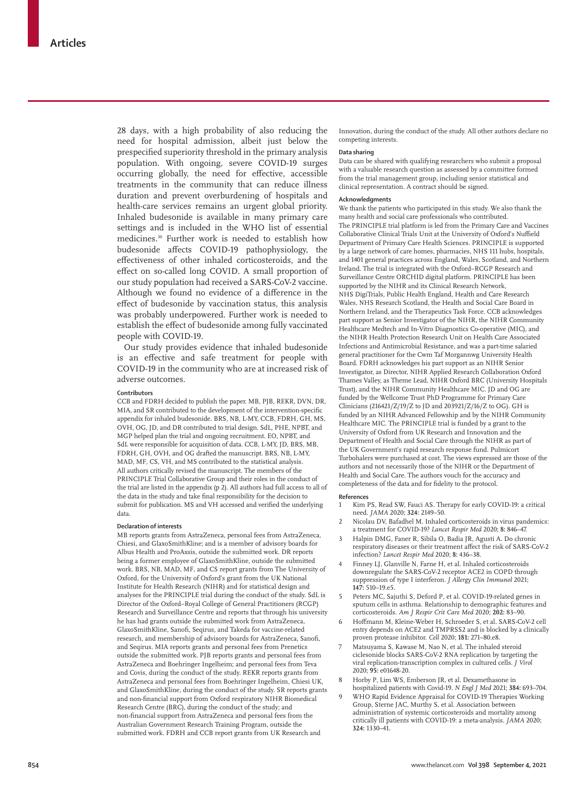28 days, with a high probability of also reducing the need for hospital admission, albeit just below the prespecified superiority threshold in the primary analysis population. With ongoing, severe COVID-19 surges occurring globally, the need for effective, accessible treatments in the community that can reduce illness duration and prevent overburdening of hospitals and health-care services remains an urgent global priority. Inhaled budesonide is available in many primary care settings and is included in the WHO list of essential medicines.30 Further work is needed to establish how budesonide affects COVID-19 pathophysiology, the effectiveness of other inhaled corticosteroids, and the effect on so-called long COVID. A small proportion of our study population had received a SARS-CoV-2 vaccine. Although we found no evidence of a difference in the effect of budesonide by vaccination status, this analysis was probably underpowered. Further work is needed to establish the effect of budesonide among fully vaccinated people with COVID-19.

Our study provides evidence that inhaled budesonide is an effective and safe treatment for people with COVID-19 in the community who are at increased risk of adverse outcomes.

#### **Contributors**

CCB and FDRH decided to publish the paper. MB, PJB, REKR, DVN, DR, MIA, and SR contributed to the development of the intervention-specific appendix for inhaled budesonide. BRS, NB, L-MY, CCB, FDRH, GH, MS, OVH, OG, JD, and DR contributed to trial design. SdL, PHE, NPBT, and MGP helped plan the trial and ongoing recruitment. EO, NPBT, and SdL were responsible for acquisition of data. CCB, L-MY, JD, BRS, MB, FDRH, GH, OVH, and OG drafted the manuscript. BRS, NB, L-MY, MAD, MF, CS, VH, and MS contributed to the statistical analysis. All authors critically revised the manuscript. The members of the PRINCIPLE Trial Collaborative Group and their roles in the conduct of the trial are listed in the appendix (p 2). All authors had full access to all of the data in the study and take final responsibility for the decision to submit for publication. MS and VH accessed and verified the underlying data.

#### **Declaration of interests**

MB reports grants from AstraZeneca, personal fees from AstraZeneca, Chiesi, and GlaxoSmithKline; and is a member of advisory boards for Albus Health and ProAxsis, outside the submitted work. DR reports being a former employee of GlaxoSmithKline, outside the submitted work. BRS, NB, MAD, MF, and CS report grants from The University of Oxford, for the University of Oxford's grant from the UK National Institute for Health Research (NIHR) and for statistical design and analyses for the PRINCIPLE trial during the conduct of the study. SdL is Director of the Oxford–Royal College of General Practitioners (RCGP) Research and Surveillance Centre and reports that through his university he has had grants outside the submitted work from AstraZeneca, GlaxoSmithKline, Sanofi, Seqirus, and Takeda for vaccine-related research, and membership of advisory boards for AstraZeneca, Sanofi, and Seqirus. MIA reports grants and personal fees from Prenetics outside the submitted work. PJB reports grants and personal fees from AstraZeneca and Boehringer Ingelheim; and personal fees from Teva and Covis, during the conduct of the study. REKR reports grants from AstraZeneca and personal fees from Boehringer Ingelheim, Chiesi UK, and GlaxoSmithKline, during the conduct of the study. SR reports grants and non-financial support from Oxford respiratory NIHR Biomedical Research Centre (BRC), during the conduct of the study; and non-financial support from AstraZeneca and personal fees from the Australian Government Research Training Program, outside the submitted work. FDRH and CCB report grants from UK Research and

Innovation, during the conduct of the study. All other authors declare no competing interests.

#### **Data sharing**

Data can be shared with qualifying researchers who submit a proposal with a valuable research question as assessed by a committee formed from the trial management group, including senior statistical and clinical representation. A contract should be signed.

#### **Acknowledgments**

We thank the patients who participated in this study. We also thank the many health and social care professionals who contributed. The PRINCIPLE trial platform is led from the Primary Care and Vaccines Collaborative Clinical Trials Unit at the University of Oxford's Nuffield Department of Primary Care Health Sciences. PRINCIPLE is supported by a large network of care homes, pharmacies, NHS 111 hubs, hospitals, and 1401 general practices across England, Wales, Scotland, and Northern Ireland. The trial is integrated with the Oxford–RCGP Research and Surveillance Centre ORCHID digital platform. PRINCIPLE has been supported by the NIHR and its Clinical Research Network, NHS DigiTrials, Public Health England, Health and Care Research Wales, NHS Research Scotland, the Health and Social Care Board in Northern Ireland, and the Therapeutics Task Force. CCB acknowledges part support as Senior Investigator of the NIHR, the NIHR Community Healthcare Medtech and In-Vitro Diagnostics Co-operative (MIC), and the NIHR Health Protection Research Unit on Health Care Associated Infections and Antimicrobial Resistance, and was a part-time salaried general practitioner for the Cwm Taf Morgannwg University Health Board. FDRH acknowledges his part support as an NIHR Senior Investigator, as Director, NIHR Applied Research Collaboration Oxford Thames Valley, as Theme Lead, NIHR Oxford BRC (University Hospitals Trust), and the NIHR Community Healthcare MIC. JD and OG are funded by the Wellcome Trust PhD Programme for Primary Care Clinicians (216421/Z/19/Z to JD and 203921/Z/16/Z to OG). GH is funded by an NIHR Advanced Fellowship and by the NIHR Community Healthcare MIC. The PRINCIPLE trial is funded by a grant to the University of Oxford from UK Research and Innovation and the Department of Health and Social Care through the NIHR as part of the UK Government's rapid research response fund. Pulmicort Turbohalers were purchased at cost. The views expressed are those of the authors and not necessarily those of the NIHR or the Department of Health and Social Care. The authors vouch for the accuracy and completeness of the data and for fidelity to the protocol.

#### **References**

- 1 Kim PS, Read SW, Fauci AS. Therapy for early COVID-19: a critical need. *JAMA* 2020; **324:** 2149–50.
- 2 Nicolau DV, Bafadhel M. Inhaled corticosteroids in virus pandemics: a treatment for COVID-19? *Lancet Respir Med* 2020; **8:** 846–47.
- 3 Halpin DMG, Faner R, Sibila O, Badia JR, Agusti A. Do chronic respiratory diseases or their treatment affect the risk of SARS-CoV-2 infection? *Lancet Respir Med* 2020; **8:** 436–38.
- 4 Finney LJ, Glanville N, Farne H, et al. Inhaled corticosteroids downregulate the SARS-CoV-2 receptor ACE2 in COPD through suppression of type I interferon. *J Allergy Clin Immunol* 2021; **147:** 510–19.e5.
- 5 Peters MC, Sajuthi S, Deford P, et al. COVID-19-related genes in sputum cells in asthma. Relationship to demographic features and corticosteroids. *Am J Respir Crit Care Med* 2020; **202:** 83–90.
- 6 Hoffmann M, Kleine-Weber H, Schroeder S, et al. SARS-CoV-2 cell entry depends on ACE2 and TMPRSS2 and is blocked by a clinically proven protease inhibitor. *Cell* 2020; **181:** 271–80.e8.
- Matsuyama S, Kawase M, Nao N, et al. The inhaled steroid ciclesonide blocks SARS-CoV-2 RNA replication by targeting the viral replication-transcription complex in cultured cells. *J Virol* 2020; **95:** e01648-20.
- 8 Horby P, Lim WS, Emberson JR, et al. Dexamethasone in hospitalized patients with Covid-19. *N Engl J Med* 2021; **384:** 693–704.
- 9 WHO Rapid Evidence Appraisal for COVID-19 Therapies Working Group, Sterne JAC, Murthy S, et al. Association between administration of systemic corticosteroids and mortality among critically ill patients with COVID-19: a meta-analysis. *JAMA* 2020; **324:** 1330–41.